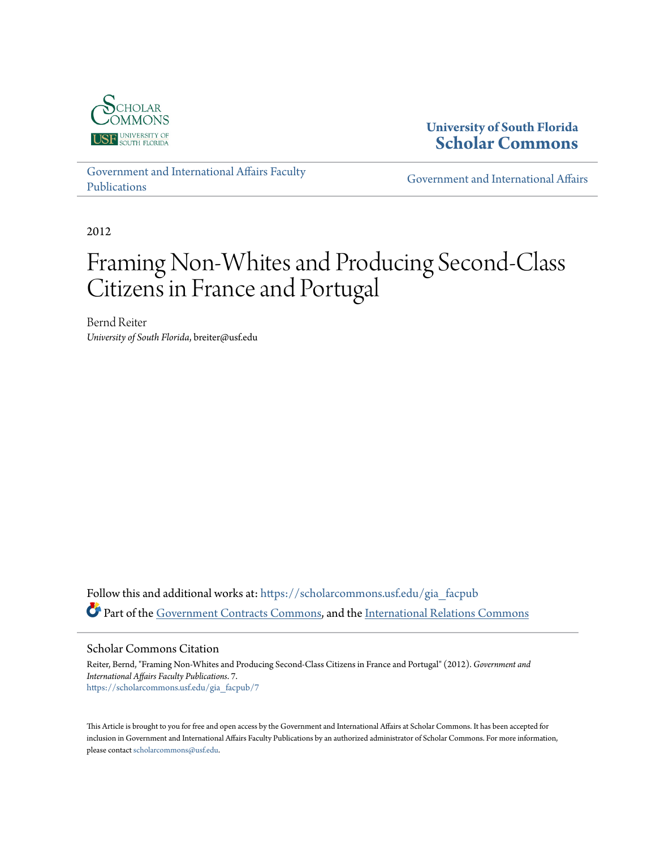

**University of South Florida [Scholar Commons](https://scholarcommons.usf.edu?utm_source=scholarcommons.usf.edu%2Fgia_facpub%2F7&utm_medium=PDF&utm_campaign=PDFCoverPages)**

[Government and International Affairs Faculty](https://scholarcommons.usf.edu/gia_facpub?utm_source=scholarcommons.usf.edu%2Fgia_facpub%2F7&utm_medium=PDF&utm_campaign=PDFCoverPages) [Publications](https://scholarcommons.usf.edu/gia_facpub?utm_source=scholarcommons.usf.edu%2Fgia_facpub%2F7&utm_medium=PDF&utm_campaign=PDFCoverPages)

[Government and International Affairs](https://scholarcommons.usf.edu/gia?utm_source=scholarcommons.usf.edu%2Fgia_facpub%2F7&utm_medium=PDF&utm_campaign=PDFCoverPages)

2012

# Framing Non-Whites and Producing Second-Class Citizens in France and Portugal

Bernd Reiter *University of South Florida*, breiter@usf.edu

Follow this and additional works at: [https://scholarcommons.usf.edu/gia\\_facpub](https://scholarcommons.usf.edu/gia_facpub?utm_source=scholarcommons.usf.edu%2Fgia_facpub%2F7&utm_medium=PDF&utm_campaign=PDFCoverPages) Part of the [Government Contracts Commons](http://network.bepress.com/hgg/discipline/845?utm_source=scholarcommons.usf.edu%2Fgia_facpub%2F7&utm_medium=PDF&utm_campaign=PDFCoverPages), and the [International Relations Commons](http://network.bepress.com/hgg/discipline/389?utm_source=scholarcommons.usf.edu%2Fgia_facpub%2F7&utm_medium=PDF&utm_campaign=PDFCoverPages)

Scholar Commons Citation

Reiter, Bernd, "Framing Non-Whites and Producing Second-Class Citizens in France and Portugal" (2012). *Government and International Affairs Faculty Publications*. 7. [https://scholarcommons.usf.edu/gia\\_facpub/7](https://scholarcommons.usf.edu/gia_facpub/7?utm_source=scholarcommons.usf.edu%2Fgia_facpub%2F7&utm_medium=PDF&utm_campaign=PDFCoverPages)

This Article is brought to you for free and open access by the Government and International Affairs at Scholar Commons. It has been accepted for inclusion in Government and International Affairs Faculty Publications by an authorized administrator of Scholar Commons. For more information, please contact [scholarcommons@usf.edu.](mailto:scholarcommons@usf.edu)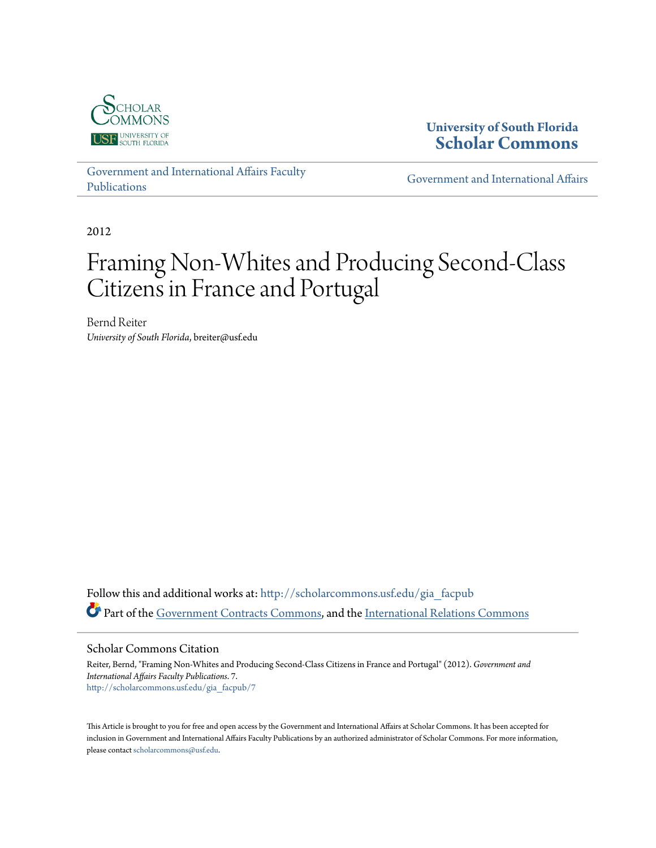

**University of South Florida [Scholar Commons](http://scholarcommons.usf.edu?utm_source=scholarcommons.usf.edu%2Fgia_facpub%2F7&utm_medium=PDF&utm_campaign=PDFCoverPages)**

[Government and International Affairs Faculty](http://scholarcommons.usf.edu/gia_facpub?utm_source=scholarcommons.usf.edu%2Fgia_facpub%2F7&utm_medium=PDF&utm_campaign=PDFCoverPages) [Publications](http://scholarcommons.usf.edu/gia_facpub?utm_source=scholarcommons.usf.edu%2Fgia_facpub%2F7&utm_medium=PDF&utm_campaign=PDFCoverPages)

[Government and International Affairs](http://scholarcommons.usf.edu/gia?utm_source=scholarcommons.usf.edu%2Fgia_facpub%2F7&utm_medium=PDF&utm_campaign=PDFCoverPages)

2012

# Framing Non-Whites and Producing Second-Class Citizens in France and Portugal

Bernd Reiter *University of South Florida*, breiter@usf.edu

Follow this and additional works at: [http://scholarcommons.usf.edu/gia\\_facpub](http://scholarcommons.usf.edu/gia_facpub?utm_source=scholarcommons.usf.edu%2Fgia_facpub%2F7&utm_medium=PDF&utm_campaign=PDFCoverPages) Part of the [Government Contracts Commons](http://network.bepress.com/hgg/discipline/845?utm_source=scholarcommons.usf.edu%2Fgia_facpub%2F7&utm_medium=PDF&utm_campaign=PDFCoverPages), and the [International Relations Commons](http://network.bepress.com/hgg/discipline/389?utm_source=scholarcommons.usf.edu%2Fgia_facpub%2F7&utm_medium=PDF&utm_campaign=PDFCoverPages)

Scholar Commons Citation

Reiter, Bernd, "Framing Non-Whites and Producing Second-Class Citizens in France and Portugal" (2012). *Government and International Affairs Faculty Publications*. 7. [http://scholarcommons.usf.edu/gia\\_facpub/7](http://scholarcommons.usf.edu/gia_facpub/7?utm_source=scholarcommons.usf.edu%2Fgia_facpub%2F7&utm_medium=PDF&utm_campaign=PDFCoverPages)

This Article is brought to you for free and open access by the Government and International Affairs at Scholar Commons. It has been accepted for inclusion in Government and International Affairs Faculty Publications by an authorized administrator of Scholar Commons. For more information, please contact [scholarcommons@usf.edu.](mailto:scholarcommons@usf.edu)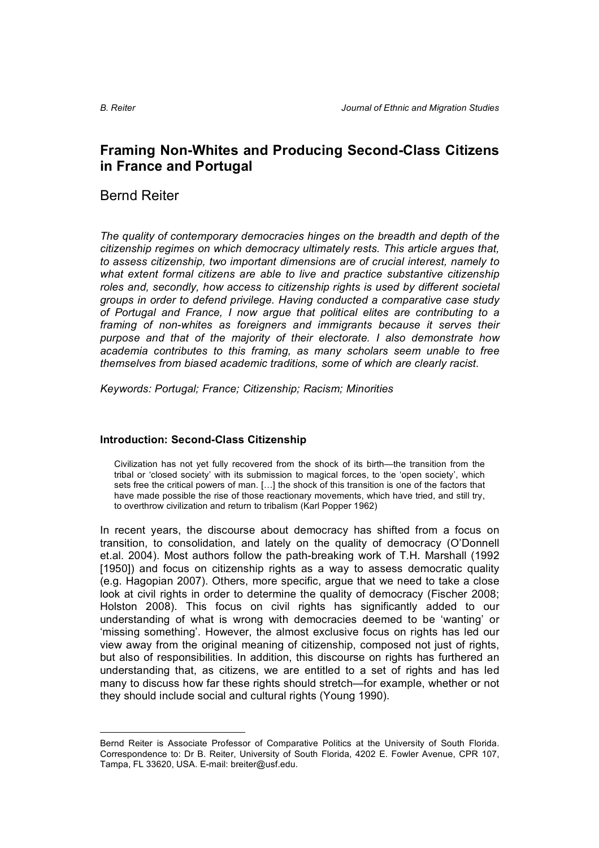### **Framing Non-Whites and Producing Second-Class Citizens in France and Portugal**

Bernd Reiter

*The quality of contemporary democracies hinges on the breadth and depth of the citizenship regimes on which democracy ultimately rests. This article argues that, to assess citizenship, two important dimensions are of crucial interest, namely to what extent formal citizens are able to live and practice substantive citizenship roles and, secondly, how access to citizenship rights is used by different societal groups in order to defend privilege. Having conducted a comparative case study of Portugal and France, I now argue that political elites are contributing to a framing of non-whites as foreigners and immigrants because it serves their purpose and that of the majority of their electorate. I also demonstrate how academia contributes to this framing, as many scholars seem unable to free themselves from biased academic traditions, some of which are clearly racist.*

*Keywords: Portugal; France; Citizenship; Racism; Minorities*

#### **Introduction: Second-Class Citizenship**

Civilization has not yet fully recovered from the shock of its birth—the transition from the tribal or 'closed society' with its submission to magical forces, to the 'open society', which sets free the critical powers of man. […] the shock of this transition is one of the factors that have made possible the rise of those reactionary movements, which have tried, and still try, to overthrow civilization and return to tribalism (Karl Popper 1962)

In recent years, the discourse about democracy has shifted from a focus on transition, to consolidation, and lately on the quality of democracy (O'Donnell et.al. 2004). Most authors follow the path-breaking work of T.H. Marshall (1992 [1950]) and focus on citizenship rights as a way to assess democratic quality (e.g. Hagopian 2007). Others, more specific, argue that we need to take a close look at civil rights in order to determine the quality of democracy (Fischer 2008; Holston 2008). This focus on civil rights has significantly added to our understanding of what is wrong with democracies deemed to be 'wanting' or 'missing something'. However, the almost exclusive focus on rights has led our view away from the original meaning of citizenship, composed not just of rights, but also of responsibilities. In addition, this discourse on rights has furthered an understanding that, as citizens, we are entitled to a set of rights and has led many to discuss how far these rights should stretch—for example, whether or not they should include social and cultural rights (Young 1990).

 $\overline{a}$ 

Bernd Reiter is Associate Professor of Comparative Politics at the University of South Florida. Correspondence to: Dr B. Reiter, University of South Florida, 4202 E. Fowler Avenue, CPR 107, Tampa, FL 33620, USA. E-mail: breiter@usf.edu.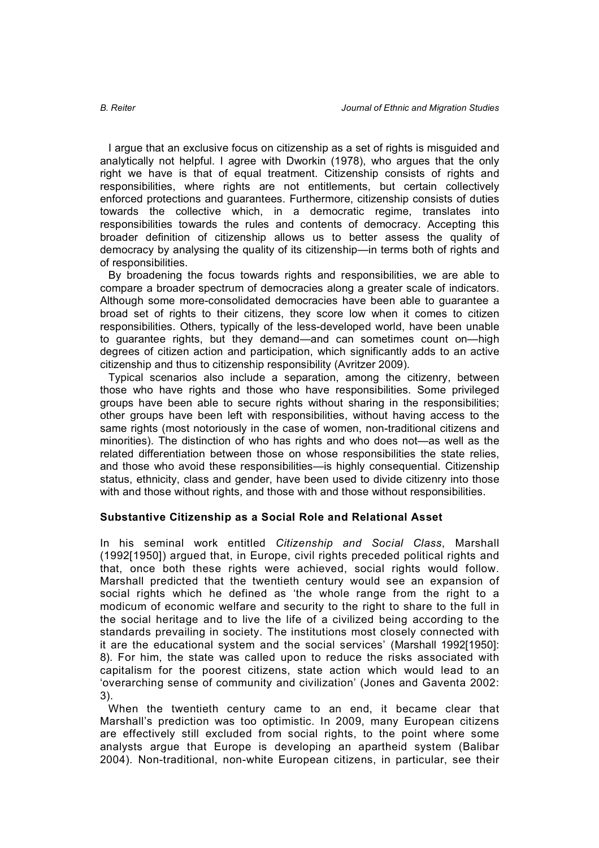I argue that an exclusive focus on citizenship as a set of rights is misguided and analytically not helpful. I agree with Dworkin (1978), who argues that the only right we have is that of equal treatment. Citizenship consists of rights and responsibilities, where rights are not entitlements, but certain collectively enforced protections and guarantees. Furthermore, citizenship consists of duties towards the collective which, in a democratic regime, translates into responsibilities towards the rules and contents of democracy. Accepting this broader definition of citizenship allows us to better assess the quality of democracy by analysing the quality of its citizenship—in terms both of rights and of responsibilities.

By broadening the focus towards rights and responsibilities, we are able to compare a broader spectrum of democracies along a greater scale of indicators. Although some more-consolidated democracies have been able to guarantee a broad set of rights to their citizens, they score low when it comes to citizen responsibilities. Others, typically of the less-developed world, have been unable to guarantee rights, but they demand—and can sometimes count on—high degrees of citizen action and participation, which significantly adds to an active citizenship and thus to citizenship responsibility (Avritzer 2009).

Typical scenarios also include a separation, among the citizenry, between those who have rights and those who have responsibilities. Some privileged groups have been able to secure rights without sharing in the responsibilities; other groups have been left with responsibilities, without having access to the same rights (most notoriously in the case of women, non-traditional citizens and minorities). The distinction of who has rights and who does not—as well as the related differentiation between those on whose responsibilities the state relies, and those who avoid these responsibilities—is highly consequential. Citizenship status, ethnicity, class and gender, have been used to divide citizenry into those with and those without rights, and those with and those without responsibilities.

#### **Substantive Citizenship as a Social Role and Relational Asset**

In his seminal work entitled *Citizenship and Social Class*, Marshall (1992[1950]) argued that, in Europe, civil rights preceded political rights and that, once both these rights were achieved, social rights would follow. Marshall predicted that the twentieth century would see an expansion of social rights which he defined as 'the whole range from the right to a modicum of economic welfare and security to the right to share to the full in the social heritage and to live the life of a civilized being according to the standards prevailing in society. The institutions most closely connected with it are the educational system and the social services' (Marshall 1992[1950]: 8). For him, the state was called upon to reduce the risks associated with capitalism for the poorest citizens, state action which would lead to an 'overarching sense of community and civilization' (Jones and Gaventa 2002: 3).

When the twentieth century came to an end, it became clear that Marshall's prediction was too optimistic. In 2009, many European citizens are effectively still excluded from social rights, to the point where some analysts argue that Europe is developing an apartheid system (Balibar 2004). Non-traditional, non-white European citizens, in particular, see their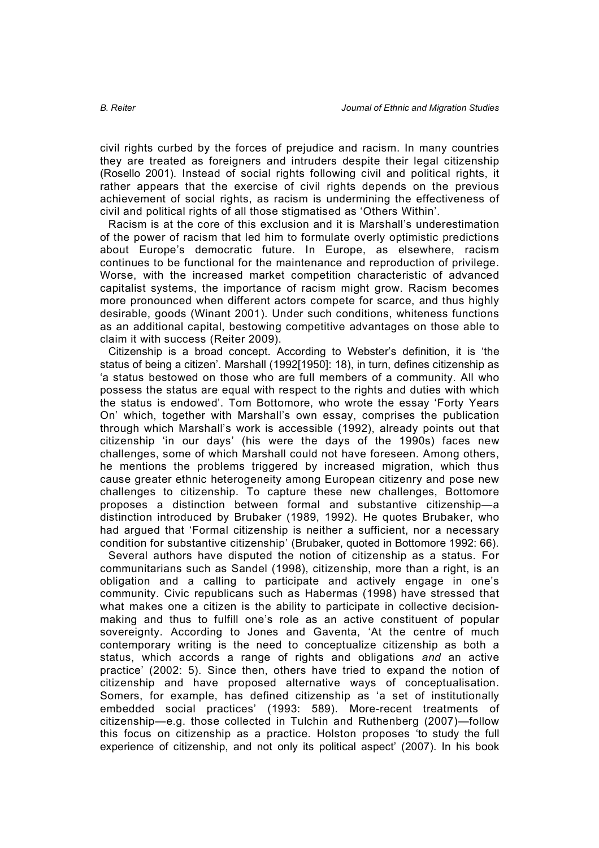civil rights curbed by the forces of prejudice and racism. In many countries they are treated as foreigners and intruders despite their legal citizenship (Rosello 2001). Instead of social rights following civil and political rights, it rather appears that the exercise of civil rights depends on the previous achievement of social rights, as racism is undermining the effectiveness of civil and political rights of all those stigmatised as 'Others Within'.

Racism is at the core of this exclusion and it is Marshall's underestimation of the power of racism that led him to formulate overly optimistic predictions about Europe's democratic future. In Europe, as elsewhere, racism continues to be functional for the maintenance and reproduction of privilege. Worse, with the increased market competition characteristic of advanced capitalist systems, the importance of racism might grow. Racism becomes more pronounced when different actors compete for scarce, and thus highly desirable, goods (Winant 2001). Under such conditions, whiteness functions as an additional capital, bestowing competitive advantages on those able to claim it with success (Reiter 2009).

Citizenship is a broad concept. According to Webster's definition, it is 'the status of being a citizen'. Marshall (1992[1950]: 18), in turn, defines citizenship as 'a status bestowed on those who are full members of a community. All who possess the status are equal with respect to the rights and duties with which the status is endowed'. Tom Bottomore, who wrote the essay 'Forty Years On' which, together with Marshall's own essay, comprises the publication through which Marshall's work is accessible (1992), already points out that citizenship 'in our days' (his were the days of the 1990s) faces new challenges, some of which Marshall could not have foreseen. Among others, he mentions the problems triggered by increased migration, which thus cause greater ethnic heterogeneity among European citizenry and pose new challenges to citizenship. To capture these new challenges, Bottomore proposes a distinction between formal and substantive citizenship—a distinction introduced by Brubaker (1989, 1992). He quotes Brubaker, who had argued that 'Formal citizenship is neither a sufficient, nor a necessary condition for substantive citizenship' (Brubaker, quoted in Bottomore 1992: 66).

Several authors have disputed the notion of citizenship as a status. For communitarians such as Sandel (1998), citizenship, more than a right, is an obligation and a calling to participate and actively engage in one's community. Civic republicans such as Habermas (1998) have stressed that what makes one a citizen is the ability to participate in collective decisionmaking and thus to fulfill one's role as an active constituent of popular sovereignty. According to Jones and Gaventa, 'At the centre of much contemporary writing is the need to conceptualize citizenship as both a status, which accords a range of rights and obligations *and* an active practice' (2002: 5). Since then, others have tried to expand the notion of citizenship and have proposed alternative ways of conceptualisation. Somers, for example, has defined citizenship as 'a set of institutionally embedded social practices' (1993: 589). More-recent treatments of citizenship—e.g. those collected in Tulchin and Ruthenberg (2007)—follow this focus on citizenship as a practice. Holston proposes 'to study the full experience of citizenship, and not only its political aspect' (2007). In his book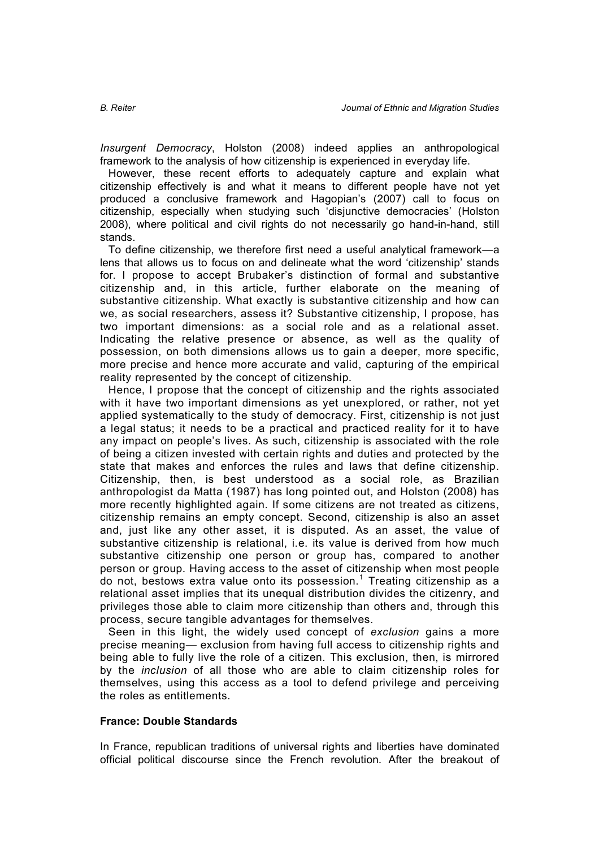*Insurgent Democracy*, Holston (2008) indeed applies an anthropological framework to the analysis of how citizenship is experienced in everyday life.

However, these recent efforts to adequately capture and explain what citizenship effectively is and what it means to different people have not yet produced a conclusive framework and Hagopian's (2007) call to focus on citizenship, especially when studying such 'disjunctive democracies' (Holston 2008), where political and civil rights do not necessarily go hand-in-hand, still stands.

To define citizenship, we therefore first need a useful analytical framework—a lens that allows us to focus on and delineate what the word 'citizenship' stands for. I propose to accept Brubaker's distinction of formal and substantive citizenship and, in this article, further elaborate on the meaning of substantive citizenship. What exactly is substantive citizenship and how can we, as social researchers, assess it? Substantive citizenship, I propose, has two important dimensions: as a social role and as a relational asset. Indicating the relative presence or absence, as well as the quality of possession, on both dimensions allows us to gain a deeper, more specific, more precise and hence more accurate and valid, capturing of the empirical reality represented by the concept of citizenship.

Hence, I propose that the concept of citizenship and the rights associated with it have two important dimensions as yet unexplored, or rather, not yet applied systematically to the study of democracy. First, citizenship is not just a legal status; it needs to be a practical and practiced reality for it to have any impact on people's lives. As such, citizenship is associated with the role of being a citizen invested with certain rights and duties and protected by the state that makes and enforces the rules and laws that define citizenship. Citizenship, then, is best understood as a social role, as Brazilian anthropologist da Matta (1987) has long pointed out, and Holston (2008) has more recently highlighted again. If some citizens are not treated as citizens, citizenship remains an empty concept. Second, citizenship is also an asset and, just like any other asset, it is disputed. As an asset, the value of substantive citizenship is relational, i.e. its value is derived from how much substantive citizenship one person or group has, compared to another person or group. Having access to the asset of citizenship when most people do not, bestows extra value onto its possession.<sup>1</sup> Treating citizenship as a relational asset implies that its unequal distribution divides the citizenry, and privileges those able to claim more citizenship than others and, through this process, secure tangible advantages for themselves.

Seen in this light, the widely used concept of *exclusion* gains a more precise meaning— exclusion from having full access to citizenship rights and being able to fully live the role of a citizen. This exclusion, then, is mirrored by the *inclusion* of all those who are able to claim citizenship roles for themselves, using this access as a tool to defend privilege and perceiving the roles as entitlements.

#### **France: Double Standards**

In France, republican traditions of universal rights and liberties have dominated official political discourse since the French revolution. After the breakout of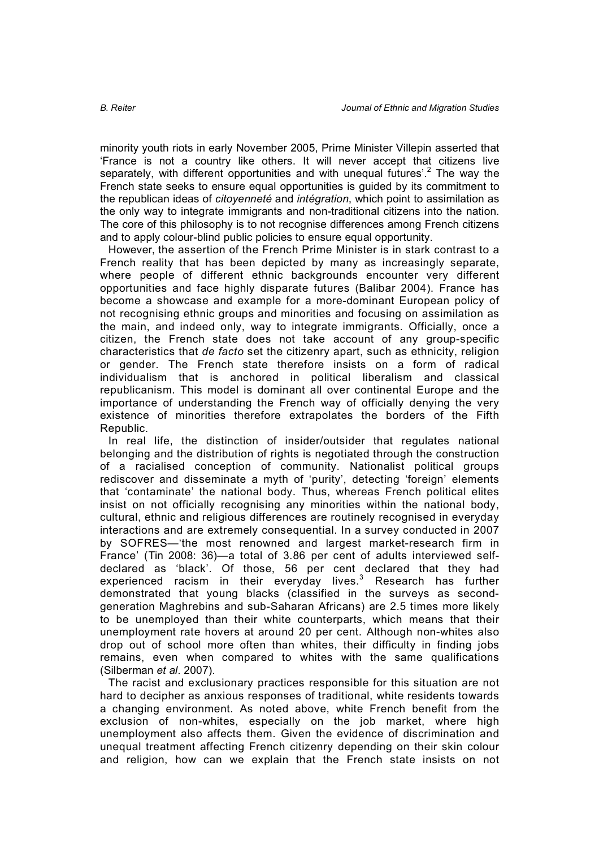minority youth riots in early November 2005, Prime Minister Villepin asserted that 'France is not a country like others. It will never accept that citizens live separately, with different opportunities and with unequal futures'.<sup>2</sup> The way the French state seeks to ensure equal opportunities is guided by its commitment to the republican ideas of *citoyenneté* and *intégration*, which point to assimilation as the only way to integrate immigrants and non-traditional citizens into the nation. The core of this philosophy is to not recognise differences among French citizens and to apply colour-blind public policies to ensure equal opportunity.

However, the assertion of the French Prime Minister is in stark contrast to a French reality that has been depicted by many as increasingly separate, where people of different ethnic backgrounds encounter very different opportunities and face highly disparate futures (Balibar 2004). France has become a showcase and example for a more-dominant European policy of not recognising ethnic groups and minorities and focusing on assimilation as the main, and indeed only, way to integrate immigrants. Officially, once a citizen, the French state does not take account of any group-specific characteristics that *de facto* set the citizenry apart, such as ethnicity, religion or gender. The French state therefore insists on a form of radical individualism that is anchored in political liberalism and classical republicanism. This model is dominant all over continental Europe and the importance of understanding the French way of officially denying the very existence of minorities therefore extrapolates the borders of the Fifth Republic.

In real life, the distinction of insider/outsider that regulates national belonging and the distribution of rights is negotiated through the construction of a racialised conception of community. Nationalist political groups rediscover and disseminate a myth of 'purity', detecting 'foreign' elements that 'contaminate' the national body. Thus, whereas French political elites insist on not officially recognising any minorities within the national body, cultural, ethnic and religious differences are routinely recognised in everyday interactions and are extremely consequential. In a survey conducted in 2007 by SOFRES—'the most renowned and largest market-research firm in France' (Tin 2008: 36)—a total of 3.86 per cent of adults interviewed selfdeclared as 'black'. Of those, 56 per cent declared that they had experienced racism in their everyday lives.<sup>3</sup> Research has further demonstrated that young blacks (classified in the surveys as secondgeneration Maghrebins and sub-Saharan Africans) are 2.5 times more likely to be unemployed than their white counterparts, which means that their unemployment rate hovers at around 20 per cent. Although non-whites also drop out of school more often than whites, their difficulty in finding jobs remains, even when compared to whites with the same qualifications (Silberman *et al*. 2007).

The racist and exclusionary practices responsible for this situation are not hard to decipher as anxious responses of traditional, white residents towards a changing environment. As noted above, white French benefit from the exclusion of non-whites, especially on the job market, where high unemployment also affects them. Given the evidence of discrimination and unequal treatment affecting French citizenry depending on their skin colour and religion, how can we explain that the French state insists on not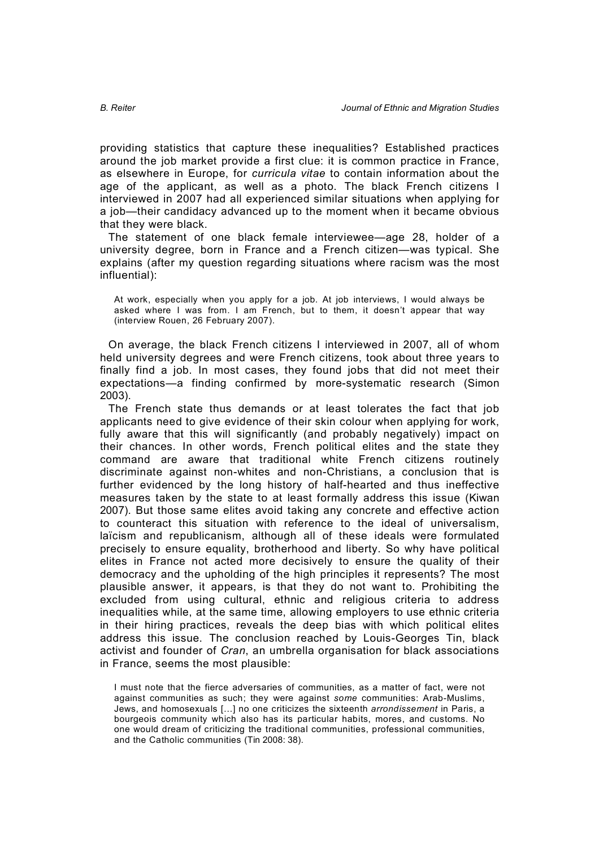providing statistics that capture these inequalities? Established practices around the job market provide a first clue: it is common practice in France, as elsewhere in Europe, for *curricula vitae* to contain information about the age of the applicant, as well as a photo. The black French citizens I interviewed in 2007 had all experienced similar situations when applying for a job—their candidacy advanced up to the moment when it became obvious that they were black.

The statement of one black female interviewee—age 28, holder of a university degree, born in France and a French citizen—was typical. She explains (after my question regarding situations where racism was the most influential):

At work, especially when you apply for a job. At job interviews, I would always be asked where I was from. I am French, but to them, it doesn't appear that way (interview Rouen, 26 February 2007).

On average, the black French citizens I interviewed in 2007, all of whom held university degrees and were French citizens, took about three years to finally find a job. In most cases, they found jobs that did not meet their expectations—a finding confirmed by more-systematic research (Simon 2003).

The French state thus demands or at least tolerates the fact that job applicants need to give evidence of their skin colour when applying for work, fully aware that this will significantly (and probably negatively) impact on their chances. In other words, French political elites and the state they command are aware that traditional white French citizens routinely discriminate against non-whites and non-Christians, a conclusion that is further evidenced by the long history of half-hearted and thus ineffective measures taken by the state to at least formally address this issue (Kiwan 2007). But those same elites avoid taking any concrete and effective action to counteract this situation with reference to the ideal of universalism, laïcism and republicanism, although all of these ideals were formulated precisely to ensure equality, brotherhood and liberty. So why have political elites in France not acted more decisively to ensure the quality of their democracy and the upholding of the high principles it represents? The most plausible answer, it appears, is that they do not want to. Prohibiting the excluded from using cultural, ethnic and religious criteria to address inequalities while, at the same time, allowing employers to use ethnic criteria in their hiring practices, reveals the deep bias with which political elites address this issue. The conclusion reached by Louis-Georges Tin, black activist and founder of *Cran*, an umbrella organisation for black associations in France, seems the most plausible:

I must note that the fierce adversaries of communities, as a matter of fact, were not against communities as such; they were against *some* communities: Arab-Muslims, Jews, and homosexuals […] no one criticizes the sixteenth *arrondissement* in Paris, a bourgeois community which also has its particular habits, mores, and customs. No one would dream of criticizing the traditional communities, professional communities, and the Catholic communities (Tin 2008: 38).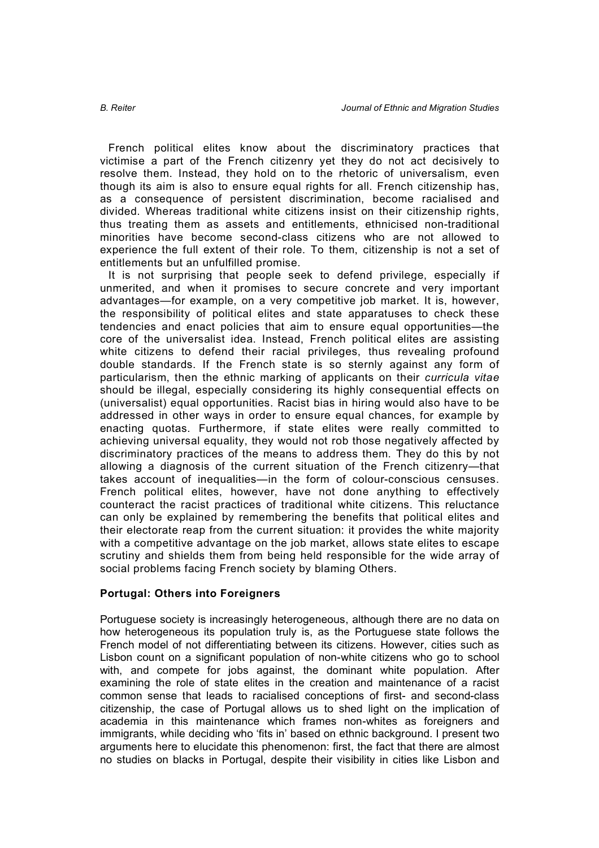French political elites know about the discriminatory practices that victimise a part of the French citizenry yet they do not act decisively to resolve them. Instead, they hold on to the rhetoric of universalism, even though its aim is also to ensure equal rights for all. French citizenship has, as a consequence of persistent discrimination, become racialised and divided. Whereas traditional white citizens insist on their citizenship rights, thus treating them as assets and entitlements, ethnicised non-traditional minorities have become second-class citizens who are not allowed to experience the full extent of their role. To them, citizenship is not a set of entitlements but an unfulfilled promise.

It is not surprising that people seek to defend privilege, especially if unmerited, and when it promises to secure concrete and very important advantages—for example, on a very competitive job market. It is, however, the responsibility of political elites and state apparatuses to check these tendencies and enact policies that aim to ensure equal opportunities—the core of the universalist idea. Instead, French political elites are assisting white citizens to defend their racial privileges, thus revealing profound double standards. If the French state is so sternly against any form of particularism, then the ethnic marking of applicants on their *curricula vitae* should be illegal, especially considering its highly consequential effects on (universalist) equal opportunities. Racist bias in hiring would also have to be addressed in other ways in order to ensure equal chances, for example by enacting quotas. Furthermore, if state elites were really committed to achieving universal equality, they would not rob those negatively affected by discriminatory practices of the means to address them. They do this by not allowing a diagnosis of the current situation of the French citizenry—that takes account of inequalities—in the form of colour-conscious censuses. French political elites, however, have not done anything to effectively counteract the racist practices of traditional white citizens. This reluctance can only be explained by remembering the benefits that political elites and their electorate reap from the current situation: it provides the white majority with a competitive advantage on the job market, allows state elites to escape scrutiny and shields them from being held responsible for the wide array of social problems facing French society by blaming Others.

#### **Portugal: Others into Foreigners**

Portuguese society is increasingly heterogeneous, although there are no data on how heterogeneous its population truly is, as the Portuguese state follows the French model of not differentiating between its citizens. However, cities such as Lisbon count on a significant population of non-white citizens who go to school with, and compete for jobs against, the dominant white population. After examining the role of state elites in the creation and maintenance of a racist common sense that leads to racialised conceptions of first- and second-class citizenship, the case of Portugal allows us to shed light on the implication of academia in this maintenance which frames non-whites as foreigners and immigrants, while deciding who 'fits in' based on ethnic background. I present two arguments here to elucidate this phenomenon: first, the fact that there are almost no studies on blacks in Portugal, despite their visibility in cities like Lisbon and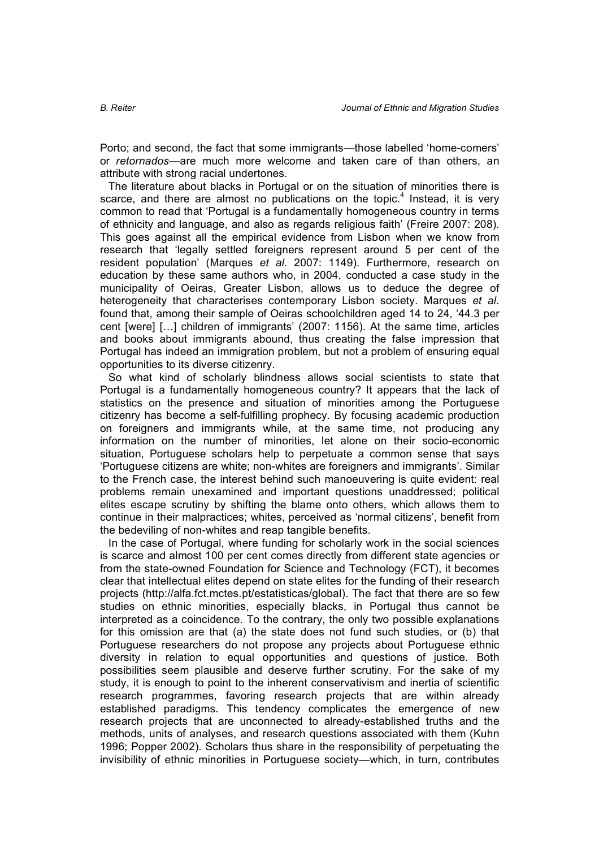Porto; and second, the fact that some immigrants—those labelled 'home-comers' or *retornados*—are much more welcome and taken care of than others, an attribute with strong racial undertones.

The literature about blacks in Portugal or on the situation of minorities there is scarce, and there are almost no publications on the topic.<sup>4</sup> Instead, it is very common to read that 'Portugal is a fundamentally homogeneous country in terms of ethnicity and language, and also as regards religious faith' (Freire 2007: 208). This goes against all the empirical evidence from Lisbon when we know from research that 'legally settled foreigners represent around 5 per cent of the resident population' (Marques *et al*. 2007: 1149). Furthermore, research on education by these same authors who, in 2004, conducted a case study in the municipality of Oeiras, Greater Lisbon, allows us to deduce the degree of heterogeneity that characterises contemporary Lisbon society. Marques *et al*. found that, among their sample of Oeiras schoolchildren aged 14 to 24, '44.3 per cent [were] […] children of immigrants' (2007: 1156). At the same time, articles and books about immigrants abound, thus creating the false impression that Portugal has indeed an immigration problem, but not a problem of ensuring equal opportunities to its diverse citizenry.

So what kind of scholarly blindness allows social scientists to state that Portugal is a fundamentally homogeneous country? It appears that the lack of statistics on the presence and situation of minorities among the Portuguese citizenry has become a self-fulfilling prophecy. By focusing academic production on foreigners and immigrants while, at the same time, not producing any information on the number of minorities, let alone on their socio-economic situation, Portuguese scholars help to perpetuate a common sense that says 'Portuguese citizens are white; non-whites are foreigners and immigrants'. Similar to the French case, the interest behind such manoeuvering is quite evident: real problems remain unexamined and important questions unaddressed; political elites escape scrutiny by shifting the blame onto others, which allows them to continue in their malpractices; whites, perceived as 'normal citizens', benefit from the bedeviling of non-whites and reap tangible benefits.

In the case of Portugal, where funding for scholarly work in the social sciences is scarce and almost 100 per cent comes directly from different state agencies or from the state-owned Foundation for Science and Technology (FCT), it becomes clear that intellectual elites depend on state elites for the funding of their research projects (http://alfa.fct.mctes.pt/estatisticas/global). The fact that there are so few studies on ethnic minorities, especially blacks, in Portugal thus cannot be interpreted as a coincidence. To the contrary, the only two possible explanations for this omission are that (a) the state does not fund such studies, or (b) that Portuguese researchers do not propose any projects about Portuguese ethnic diversity in relation to equal opportunities and questions of justice. Both possibilities seem plausible and deserve further scrutiny. For the sake of my study, it is enough to point to the inherent conservativism and inertia of scientific research programmes, favoring research projects that are within already established paradigms. This tendency complicates the emergence of new research projects that are unconnected to already-established truths and the methods, units of analyses, and research questions associated with them (Kuhn 1996; Popper 2002). Scholars thus share in the responsibility of perpetuating the invisibility of ethnic minorities in Portuguese society—which, in turn, contributes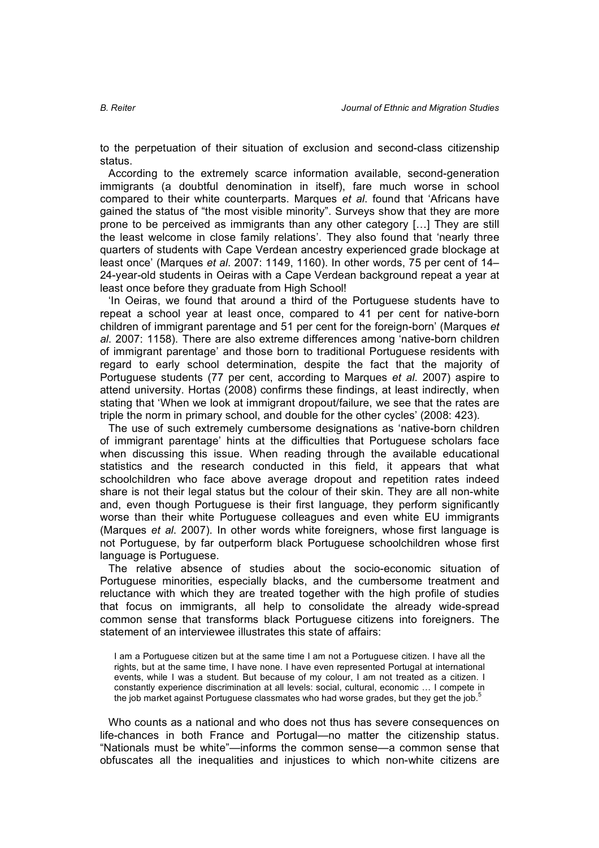to the perpetuation of their situation of exclusion and second-class citizenship status.

According to the extremely scarce information available, second-generation immigrants (a doubtful denomination in itself), fare much worse in school compared to their white counterparts. Marques *et al*. found that 'Africans have gained the status of "the most visible minority". Surveys show that they are more prone to be perceived as immigrants than any other category […] They are still the least welcome in close family relations'. They also found that 'nearly three quarters of students with Cape Verdean ancestry experienced grade blockage at least once' (Marques *et al*. 2007: 1149, 1160). In other words, 75 per cent of 14– 24-year-old students in Oeiras with a Cape Verdean background repeat a year at least once before they graduate from High School!

'In Oeiras, we found that around a third of the Portuguese students have to repeat a school year at least once, compared to 41 per cent for native-born children of immigrant parentage and 51 per cent for the foreign-born' (Marques *et al*. 2007: 1158). There are also extreme differences among 'native-born children of immigrant parentage' and those born to traditional Portuguese residents with regard to early school determination, despite the fact that the majority of Portuguese students (77 per cent, according to Marques *et al*. 2007) aspire to attend university. Hortas (2008) confirms these findings, at least indirectly, when stating that 'When we look at immigrant dropout/failure, we see that the rates are triple the norm in primary school, and double for the other cycles' (2008: 423).

The use of such extremely cumbersome designations as 'native-born children of immigrant parentage' hints at the difficulties that Portuguese scholars face when discussing this issue. When reading through the available educational statistics and the research conducted in this field, it appears that what schoolchildren who face above average dropout and repetition rates indeed share is not their legal status but the colour of their skin. They are all non-white and, even though Portuguese is their first language, they perform significantly worse than their white Portuguese colleagues and even white EU immigrants (Marques *et al*. 2007). In other words white foreigners, whose first language is not Portuguese, by far outperform black Portuguese schoolchildren whose first language is Portuguese.

The relative absence of studies about the socio-economic situation of Portuguese minorities, especially blacks, and the cumbersome treatment and reluctance with which they are treated together with the high profile of studies that focus on immigrants, all help to consolidate the already wide-spread common sense that transforms black Portuguese citizens into foreigners. The statement of an interviewee illustrates this state of affairs:

I am a Portuguese citizen but at the same time I am not a Portuguese citizen. I have all the rights, but at the same time, I have none. I have even represented Portugal at international events, while I was a student. But because of my colour, I am not treated as a citizen. I constantly experience discrimination at all levels: social, cultural, economic … I compete in the job market against Portuguese classmates who had worse grades, but they get the job.<sup>5</sup>

Who counts as a national and who does not thus has severe consequences on life-chances in both France and Portugal—no matter the citizenship status. "Nationals must be white"—informs the common sense—a common sense that obfuscates all the inequalities and injustices to which non-white citizens are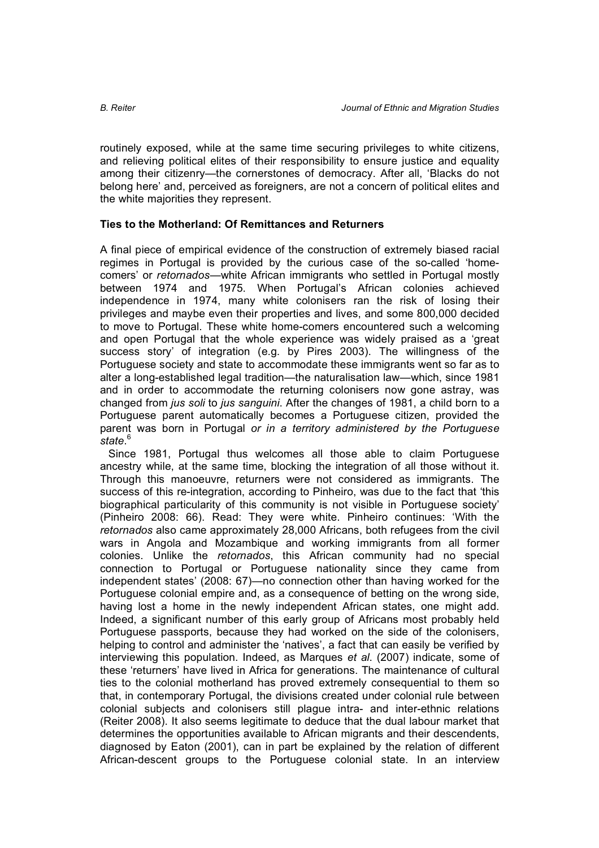routinely exposed, while at the same time securing privileges to white citizens, and relieving political elites of their responsibility to ensure justice and equality among their citizenry—the cornerstones of democracy. After all, 'Blacks do not belong here' and, perceived as foreigners, are not a concern of political elites and the white majorities they represent.

#### **Ties to the Motherland: Of Remittances and Returners**

A final piece of empirical evidence of the construction of extremely biased racial regimes in Portugal is provided by the curious case of the so-called 'homecomers' or *retornados*—white African immigrants who settled in Portugal mostly between 1974 and 1975. When Portugal's African colonies achieved independence in 1974, many white colonisers ran the risk of losing their privileges and maybe even their properties and lives, and some 800,000 decided to move to Portugal. These white home-comers encountered such a welcoming and open Portugal that the whole experience was widely praised as a 'great success story' of integration (e.g. by Pires 2003). The willingness of the Portuguese society and state to accommodate these immigrants went so far as to alter a long-established legal tradition—the naturalisation law—which, since 1981 and in order to accommodate the returning colonisers now gone astray, was changed from *jus soli* to *jus sanguini*. After the changes of 1981, a child born to a Portuguese parent automatically becomes a Portuguese citizen, provided the parent was born in Portugal *or in a territory administered by the Portuguese state*. 6

Since 1981, Portugal thus welcomes all those able to claim Portuguese ancestry while, at the same time, blocking the integration of all those without it. Through this manoeuvre, returners were not considered as immigrants. The success of this re-integration, according to Pinheiro, was due to the fact that 'this biographical particularity of this community is not visible in Portuguese society' (Pinheiro 2008: 66). Read: They were white. Pinheiro continues: 'With the *retornados* also came approximately 28,000 Africans, both refugees from the civil wars in Angola and Mozambique and working immigrants from all former colonies. Unlike the *retornados*, this African community had no special connection to Portugal or Portuguese nationality since they came from independent states' (2008: 67)—no connection other than having worked for the Portuguese colonial empire and, as a consequence of betting on the wrong side, having lost a home in the newly independent African states, one might add. Indeed, a significant number of this early group of Africans most probably held Portuguese passports, because they had worked on the side of the colonisers, helping to control and administer the 'natives', a fact that can easily be verified by interviewing this population. Indeed, as Marques *et al*. (2007) indicate, some of these 'returners' have lived in Africa for generations. The maintenance of cultural ties to the colonial motherland has proved extremely consequential to them so that, in contemporary Portugal, the divisions created under colonial rule between colonial subjects and colonisers still plague intra- and inter-ethnic relations (Reiter 2008). It also seems legitimate to deduce that the dual labour market that determines the opportunities available to African migrants and their descendents, diagnosed by Eaton (2001), can in part be explained by the relation of different African-descent groups to the Portuguese colonial state. In an interview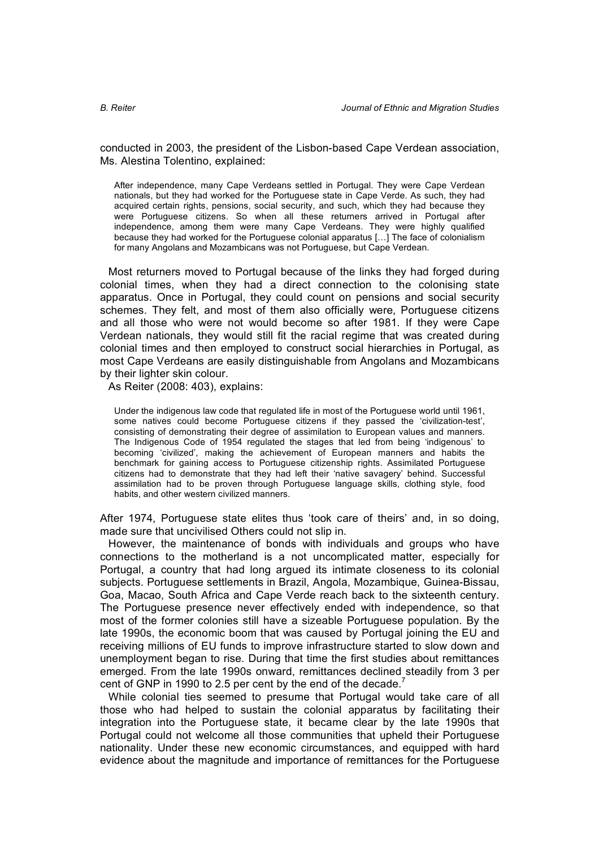conducted in 2003, the president of the Lisbon-based Cape Verdean association, Ms. Alestina Tolentino, explained:

After independence, many Cape Verdeans settled in Portugal. They were Cape Verdean nationals, but they had worked for the Portuguese state in Cape Verde. As such, they had acquired certain rights, pensions, social security, and such, which they had because they were Portuguese citizens. So when all these returners arrived in Portugal after independence, among them were many Cape Verdeans. They were highly qualified because they had worked for the Portuguese colonial apparatus […] The face of colonialism for many Angolans and Mozambicans was not Portuguese, but Cape Verdean.

Most returners moved to Portugal because of the links they had forged during colonial times, when they had a direct connection to the colonising state apparatus. Once in Portugal, they could count on pensions and social security schemes. They felt, and most of them also officially were, Portuguese citizens and all those who were not would become so after 1981. If they were Cape Verdean nationals, they would still fit the racial regime that was created during colonial times and then employed to construct social hierarchies in Portugal, as most Cape Verdeans are easily distinguishable from Angolans and Mozambicans by their lighter skin colour.

As Reiter (2008: 403), explains:

Under the indigenous law code that regulated life in most of the Portuguese world until 1961, some natives could become Portuguese citizens if they passed the 'civilization-test', consisting of demonstrating their degree of assimilation to European values and manners. The Indigenous Code of 1954 regulated the stages that led from being 'indigenous' to becoming 'civilized', making the achievement of European manners and habits the benchmark for gaining access to Portuguese citizenship rights. Assimilated Portuguese citizens had to demonstrate that they had left their 'native savagery' behind. Successful assimilation had to be proven through Portuguese language skills, clothing style, food habits, and other western civilized manners.

After 1974, Portuguese state elites thus 'took care of theirs' and, in so doing, made sure that uncivilised Others could not slip in.

However, the maintenance of bonds with individuals and groups who have connections to the motherland is a not uncomplicated matter, especially for Portugal, a country that had long argued its intimate closeness to its colonial subjects. Portuguese settlements in Brazil, Angola, Mozambique, Guinea-Bissau, Goa, Macao, South Africa and Cape Verde reach back to the sixteenth century. The Portuguese presence never effectively ended with independence, so that most of the former colonies still have a sizeable Portuguese population. By the late 1990s, the economic boom that was caused by Portugal joining the EU and receiving millions of EU funds to improve infrastructure started to slow down and unemployment began to rise. During that time the first studies about remittances emerged. From the late 1990s onward, remittances declined steadily from 3 per cent of GNP in 1990 to 2.5 per cent by the end of the decade.<sup>7</sup>

While colonial ties seemed to presume that Portugal would take care of all those who had helped to sustain the colonial apparatus by facilitating their integration into the Portuguese state, it became clear by the late 1990s that Portugal could not welcome all those communities that upheld their Portuguese nationality. Under these new economic circumstances, and equipped with hard evidence about the magnitude and importance of remittances for the Portuguese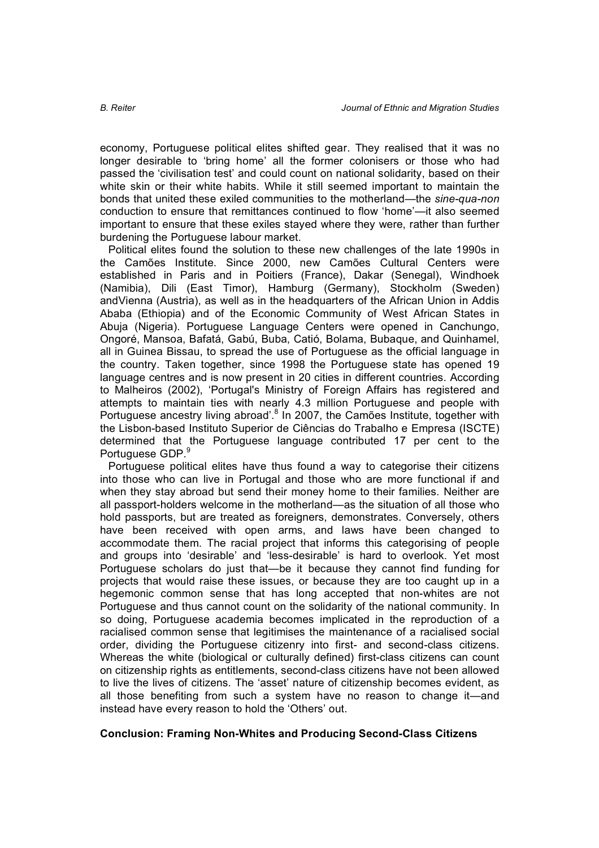economy, Portuguese political elites shifted gear. They realised that it was no longer desirable to 'bring home' all the former colonisers or those who had passed the 'civilisation test' and could count on national solidarity, based on their white skin or their white habits. While it still seemed important to maintain the bonds that united these exiled communities to the motherland—the *sine-qua-non* conduction to ensure that remittances continued to flow 'home'—it also seemed important to ensure that these exiles stayed where they were, rather than further burdening the Portuguese labour market.

Political elites found the solution to these new challenges of the late 1990s in the Camões Institute. Since 2000, new Camões Cultural Centers were established in Paris and in Poitiers (France), Dakar (Senegal), Windhoek (Namibia), Dili (East Timor), Hamburg (Germany), Stockholm (Sweden) andVienna (Austria), as well as in the headquarters of the African Union in Addis Ababa (Ethiopia) and of the Economic Community of West African States in Abuja (Nigeria). Portuguese Language Centers were opened in Canchungo, Ongoré, Mansoa, Bafatá, Gabú, Buba, Catió, Bolama, Bubaque, and Quinhamel, all in Guinea Bissau, to spread the use of Portuguese as the official language in the country. Taken together, since 1998 the Portuguese state has opened 19 language centres and is now present in 20 cities in different countries. According to Malheiros (2002), 'Portugal's Ministry of Foreign Affairs has registered and attempts to maintain ties with nearly 4.3 million Portuguese and people with Portuguese ancestry living abroad'.<sup>8</sup> In 2007, the Camões Institute, together with the Lisbon-based Instituto Superior de Ciências do Trabalho e Empresa (ISCTE) determined that the Portuguese language contributed 17 per cent to the Portuguese GDP.<sup>9</sup>

Portuguese political elites have thus found a way to categorise their citizens into those who can live in Portugal and those who are more functional if and when they stay abroad but send their money home to their families. Neither are all passport-holders welcome in the motherland—as the situation of all those who hold passports, but are treated as foreigners, demonstrates. Conversely, others have been received with open arms, and laws have been changed to accommodate them. The racial project that informs this categorising of people and groups into 'desirable' and 'less-desirable' is hard to overlook. Yet most Portuguese scholars do just that—be it because they cannot find funding for projects that would raise these issues, or because they are too caught up in a hegemonic common sense that has long accepted that non-whites are not Portuguese and thus cannot count on the solidarity of the national community. In so doing, Portuguese academia becomes implicated in the reproduction of a racialised common sense that legitimises the maintenance of a racialised social order, dividing the Portuguese citizenry into first- and second-class citizens. Whereas the white (biological or culturally defined) first-class citizens can count on citizenship rights as entitlements, second-class citizens have not been allowed to live the lives of citizens. The 'asset' nature of citizenship becomes evident, as all those benefiting from such a system have no reason to change it—and instead have every reason to hold the 'Others' out.

#### **Conclusion: Framing Non-Whites and Producing Second-Class Citizens**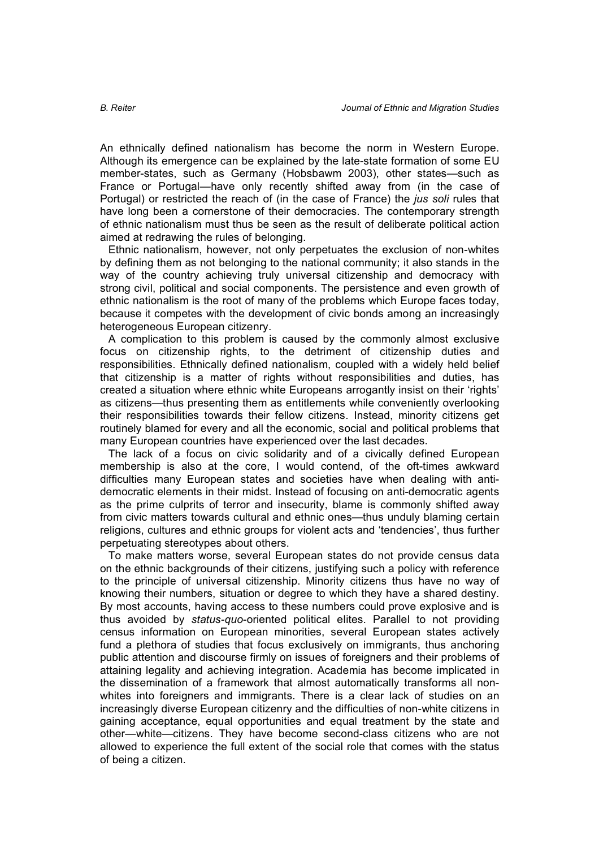An ethnically defined nationalism has become the norm in Western Europe. Although its emergence can be explained by the late-state formation of some EU member-states, such as Germany (Hobsbawm 2003), other states—such as France or Portugal—have only recently shifted away from (in the case of Portugal) or restricted the reach of (in the case of France) the *jus soli* rules that have long been a cornerstone of their democracies. The contemporary strength of ethnic nationalism must thus be seen as the result of deliberate political action aimed at redrawing the rules of belonging.

Ethnic nationalism, however, not only perpetuates the exclusion of non-whites by defining them as not belonging to the national community; it also stands in the way of the country achieving truly universal citizenship and democracy with strong civil, political and social components. The persistence and even growth of ethnic nationalism is the root of many of the problems which Europe faces today, because it competes with the development of civic bonds among an increasingly heterogeneous European citizenry.

A complication to this problem is caused by the commonly almost exclusive focus on citizenship rights, to the detriment of citizenship duties and responsibilities. Ethnically defined nationalism, coupled with a widely held belief that citizenship is a matter of rights without responsibilities and duties, has created a situation where ethnic white Europeans arrogantly insist on their 'rights' as citizens—thus presenting them as entitlements while conveniently overlooking their responsibilities towards their fellow citizens. Instead, minority citizens get routinely blamed for every and all the economic, social and political problems that many European countries have experienced over the last decades.

The lack of a focus on civic solidarity and of a civically defined European membership is also at the core, I would contend, of the oft-times awkward difficulties many European states and societies have when dealing with antidemocratic elements in their midst. Instead of focusing on anti-democratic agents as the prime culprits of terror and insecurity, blame is commonly shifted away from civic matters towards cultural and ethnic ones—thus unduly blaming certain religions, cultures and ethnic groups for violent acts and 'tendencies', thus further perpetuating stereotypes about others.

To make matters worse, several European states do not provide census data on the ethnic backgrounds of their citizens, justifying such a policy with reference to the principle of universal citizenship. Minority citizens thus have no way of knowing their numbers, situation or degree to which they have a shared destiny. By most accounts, having access to these numbers could prove explosive and is thus avoided by *status-quo*-oriented political elites. Parallel to not providing census information on European minorities, several European states actively fund a plethora of studies that focus exclusively on immigrants, thus anchoring public attention and discourse firmly on issues of foreigners and their problems of attaining legality and achieving integration. Academia has become implicated in the dissemination of a framework that almost automatically transforms all nonwhites into foreigners and immigrants. There is a clear lack of studies on an increasingly diverse European citizenry and the difficulties of non-white citizens in gaining acceptance, equal opportunities and equal treatment by the state and other—white—citizens. They have become second-class citizens who are not allowed to experience the full extent of the social role that comes with the status of being a citizen.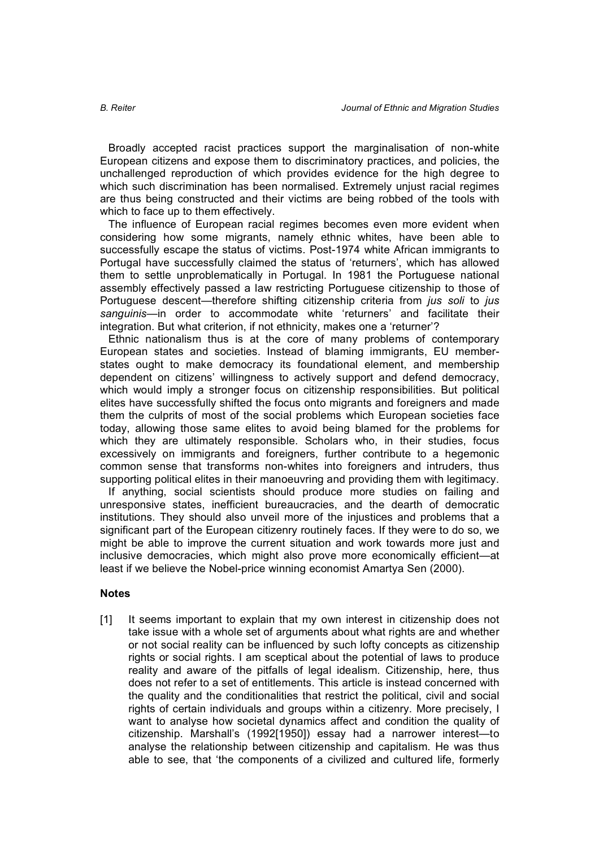Broadly accepted racist practices support the marginalisation of non-white European citizens and expose them to discriminatory practices, and policies, the unchallenged reproduction of which provides evidence for the high degree to which such discrimination has been normalised. Extremely unjust racial regimes are thus being constructed and their victims are being robbed of the tools with which to face up to them effectively.

The influence of European racial regimes becomes even more evident when considering how some migrants, namely ethnic whites, have been able to successfully escape the status of victims. Post-1974 white African immigrants to Portugal have successfully claimed the status of 'returners', which has allowed them to settle unproblematically in Portugal. In 1981 the Portuguese national assembly effectively passed a law restricting Portuguese citizenship to those of Portuguese descent—therefore shifting citizenship criteria from *jus soli* to *jus sanguinis*—in order to accommodate white 'returners' and facilitate their integration. But what criterion, if not ethnicity, makes one a 'returner'?

Ethnic nationalism thus is at the core of many problems of contemporary European states and societies. Instead of blaming immigrants, EU memberstates ought to make democracy its foundational element, and membership dependent on citizens' willingness to actively support and defend democracy, which would imply a stronger focus on citizenship responsibilities. But political elites have successfully shifted the focus onto migrants and foreigners and made them the culprits of most of the social problems which European societies face today, allowing those same elites to avoid being blamed for the problems for which they are ultimately responsible. Scholars who, in their studies, focus excessively on immigrants and foreigners, further contribute to a hegemonic common sense that transforms non-whites into foreigners and intruders, thus supporting political elites in their manoeuvring and providing them with legitimacy.

If anything, social scientists should produce more studies on failing and unresponsive states, inefficient bureaucracies, and the dearth of democratic institutions. They should also unveil more of the injustices and problems that a significant part of the European citizenry routinely faces. If they were to do so, we might be able to improve the current situation and work towards more just and inclusive democracies, which might also prove more economically efficient—at least if we believe the Nobel-price winning economist Amartya Sen (2000).

#### **Notes**

[1] It seems important to explain that my own interest in citizenship does not take issue with a whole set of arguments about what rights are and whether or not social reality can be influenced by such lofty concepts as citizenship rights or social rights. I am sceptical about the potential of laws to produce reality and aware of the pitfalls of legal idealism. Citizenship, here, thus does not refer to a set of entitlements. This article is instead concerned with the quality and the conditionalities that restrict the political, civil and social rights of certain individuals and groups within a citizenry. More precisely, I want to analyse how societal dynamics affect and condition the quality of citizenship. Marshall's (1992[1950]) essay had a narrower interest—to analyse the relationship between citizenship and capitalism. He was thus able to see, that 'the components of a civilized and cultured life, formerly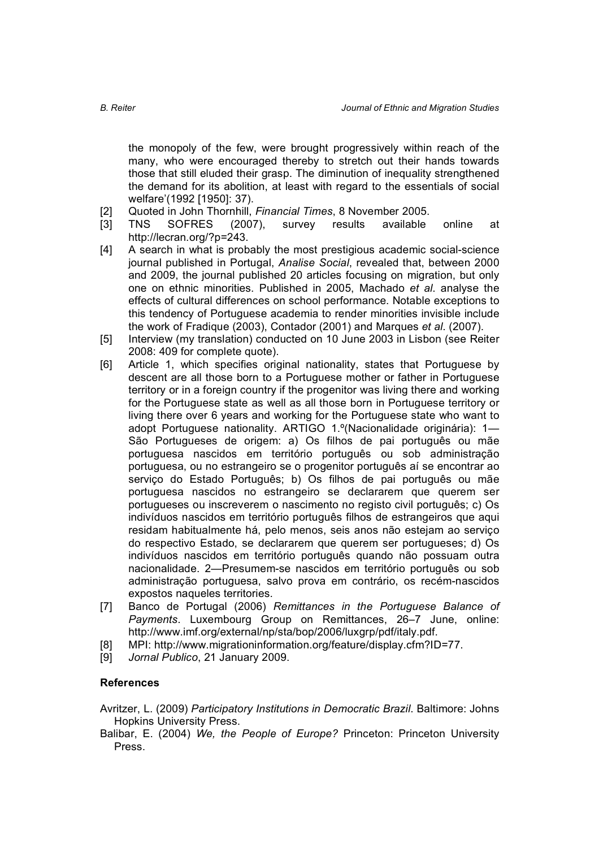the monopoly of the few, were brought progressively within reach of the many, who were encouraged thereby to stretch out their hands towards those that still eluded their grasp. The diminution of inequality strengthened the demand for its abolition, at least with regard to the essentials of social welfare'(1992 [1950]: 37).

- [2] Quoted in John Thornhill, *Financial Times*, 8 November 2005.
- [3] TNS SOFRES (2007), survey results available online at http://lecran.org/?p=243.
- [4] A search in what is probably the most prestigious academic social-science journal published in Portugal, *Analise Social*, revealed that, between 2000 and 2009, the journal published 20 articles focusing on migration, but only one on ethnic minorities. Published in 2005, Machado *et al*. analyse the effects of cultural differences on school performance. Notable exceptions to this tendency of Portuguese academia to render minorities invisible include the work of Fradique (2003), Contador (2001) and Marques *et al*. (2007).
- [5] Interview (my translation) conducted on 10 June 2003 in Lisbon (see Reiter 2008: 409 for complete quote).
- [6] Article 1, which specifies original nationality, states that Portuguese by descent are all those born to a Portuguese mother or father in Portuguese territory or in a foreign country if the progenitor was living there and working for the Portuguese state as well as all those born in Portuguese territory or living there over 6 years and working for the Portuguese state who want to adopt Portuguese nationality. ARTIGO 1.º(Nacionalidade originária): 1— São Portugueses de origem: a) Os filhos de pai português ou mãe portuguesa nascidos em território português ou sob administração portuguesa, ou no estrangeiro se o progenitor português aí se encontrar ao serviço do Estado Português; b) Os filhos de pai português ou mãe portuguesa nascidos no estrangeiro se declararem que querem ser portugueses ou inscreverem o nascimento no registo civil português; c) Os indivíduos nascidos em território português filhos de estrangeiros que aqui residam habitualmente há, pelo menos, seis anos não estejam ao serviço do respectivo Estado, se declararem que querem ser portugueses; d) Os indivíduos nascidos em território português quando não possuam outra nacionalidade. 2—Presumem-se nascidos em território português ou sob administração portuguesa, salvo prova em contrário, os recém-nascidos expostos naqueles territories.
- [7] Banco de Portugal (2006) *Remittances in the Portuguese Balance of Payments*. Luxembourg Group on Remittances, 26–7 June, online: http://www.imf.org/external/np/sta/bop/2006/luxgrp/pdf/italy.pdf.
- [8] MPI: http://www.migrationinformation.org/feature/display.cfm?ID=77.
- [9] *Jornal Publico*, 21 January 2009.

### **References**

- Avritzer, L. (2009) *Participatory Institutions in Democratic Brazil*. Baltimore: Johns Hopkins University Press.
- Balibar, E. (2004) *We, the People of Europe?* Princeton: Princeton University Press.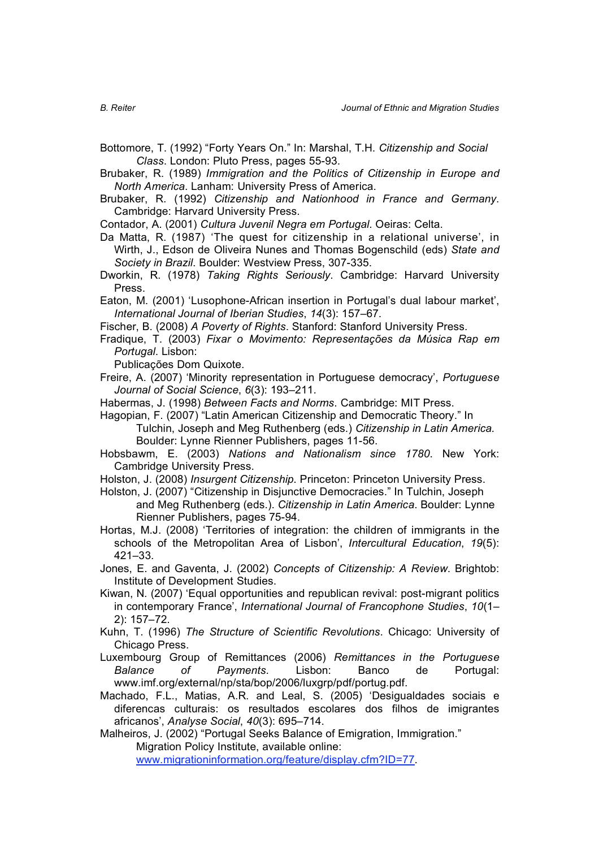- Bottomore, T. (1992) "Forty Years On." In: Marshal, T.H. *Citizenship and Social Class*. London: Pluto Press, pages 55-93.
- Brubaker, R. (1989) *Immigration and the Politics of Citizenship in Europe and North America*. Lanham: University Press of America.
- Brubaker, R. (1992) *Citizenship and Nationhood in France and Germany*. Cambridge: Harvard University Press.

Contador, A. (2001) *Cultura Juvenil Negra em Portugal*. Oeiras: Celta.

- Da Matta, R. (1987) 'The quest for citizenship in a relational universe', in Wirth, J., Edson de Oliveira Nunes and Thomas Bogenschild (eds) *State and Society in Brazil*. Boulder: Westview Press, 307-335.
- Dworkin, R. (1978) *Taking Rights Seriously*. Cambridge: Harvard University Press.

Eaton, M. (2001) 'Lusophone-African insertion in Portugal's dual labour market', *International Journal of Iberian Studies*, *14*(3): 157–67.

Fischer, B. (2008) *A Poverty of Rights*. Stanford: Stanford University Press.

Fradique, T. (2003) *Fixar o Movimento: Representações da Música Rap em Portugal*. Lisbon:

Publicações Dom Quixote.

- Freire, A. (2007) 'Minority representation in Portuguese democracy', *Portuguese Journal of Social Science*, *6*(3): 193–211.
- Habermas, J. (1998) *Between Facts and Norms*. Cambridge: MIT Press.
- Hagopian, F. (2007) "Latin American Citizenship and Democratic Theory." In Tulchin, Joseph and Meg Ruthenberg (eds.) *Citizenship in Latin America.* Boulder: Lynne Rienner Publishers, pages 11-56.
- Hobsbawm, E. (2003) *Nations and Nationalism since 1780*. New York: Cambridge University Press.
- Holston, J. (2008) *Insurgent Citizenship*. Princeton: Princeton University Press.
- Holston, J. (2007) "Citizenship in Disjunctive Democracies." In Tulchin, Joseph and Meg Ruthenberg (eds.). *Citizenship in Latin America*. Boulder: Lynne Rienner Publishers, pages 75-94.
- Hortas, M.J. (2008) 'Territories of integration: the children of immigrants in the schools of the Metropolitan Area of Lisbon', *Intercultural Education*, *19*(5): 421–33.
- Jones, E. and Gaventa, J. (2002) *Concepts of Citizenship: A Review*. Brightob: Institute of Development Studies.
- Kiwan, N. (2007) 'Equal opportunities and republican revival: post-migrant politics in contemporary France', *International Journal of Francophone Studies*, *10*(1– 2): 157–72.
- Kuhn, T. (1996) *The Structure of Scientific Revolutions*. Chicago: University of Chicago Press.
- Luxembourg Group of Remittances (2006) *Remittances in the Portuguese Balance of Payments*. Lisbon: Banco de Portugal: www.imf.org/external/np/sta/bop/2006/luxgrp/pdf/portug.pdf.
- Machado, F.L., Matias, A.R. and Leal, S. (2005) 'Desigualdades sociais e diferencas culturais: os resultados escolares dos filhos de imigrantes africanos', *Analyse Social*, *40*(3): 695–714.

Malheiros, J. (2002) "Portugal Seeks Balance of Emigration, Immigration." Migration Policy Institute, available online: www.migrationinformation.org/feature/display.cfm?ID=77.